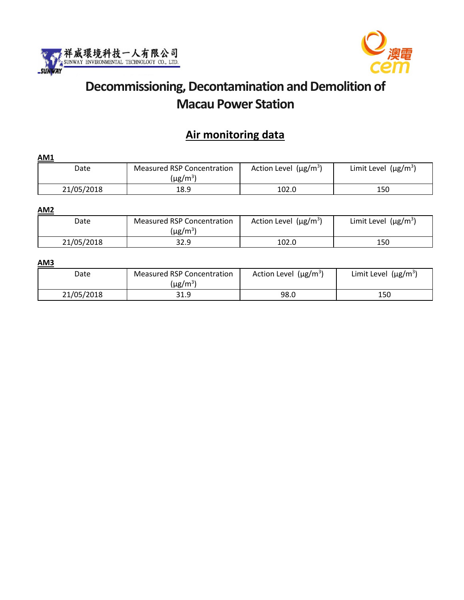



# **Decommissioning, Decontamination and Demolition of Macau Power Station**

## **Air monitoring data**

| <b>AM1</b> |                                                    |                            |                           |
|------------|----------------------------------------------------|----------------------------|---------------------------|
| Date       | Measured RSP Concentration<br>(µg/m <sup>3</sup> ) | Action Level $(\mu g/m^3)$ | Limit Level $(\mu g/m^3)$ |
| 21/05/2018 | 18.9                                               | 102.0                      | 150                       |

#### **AM2**

| Date       | Measured RSP Concentration<br>(µg/m $^3)$ | Action Level ( $\mu$ g/m <sup>3</sup> ) | Limit Level ( $\mu$ g/m <sup>3</sup> ) |  |
|------------|-------------------------------------------|-----------------------------------------|----------------------------------------|--|
| 21/05/2018 | 32.9                                      | 102.0                                   | 150                                    |  |

#### **AM3**

| Date       | <b>Measured RSP Concentration</b><br>(µg/m $^3$ ) | Action Level ( $\mu$ g/m <sup>3</sup> ) | Limit Level $(\mu g/m^3)$ |  |
|------------|---------------------------------------------------|-----------------------------------------|---------------------------|--|
| 21/05/2018 | 31.9                                              | 98.0                                    | 150                       |  |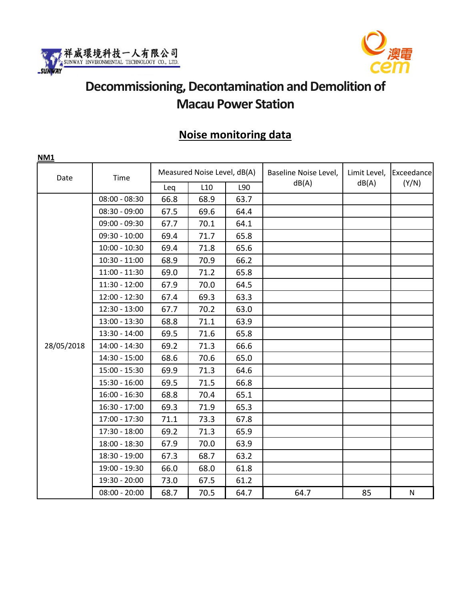



# **Decommissioning, Decontamination and Demolition of Macau Power Station**

## **Noise monitoring data**

| NM1        |                 |      |                             |      |                       |                       |                     |
|------------|-----------------|------|-----------------------------|------|-----------------------|-----------------------|---------------------|
| Date       | Time            |      | Measured Noise Level, dB(A) |      | Baseline Noise Level, | Limit Level,<br>dB(A) | Exceedance<br>(Y/N) |
|            |                 | Leq  | L10                         | L90  | dB(A)                 |                       |                     |
|            | $08:00 - 08:30$ | 66.8 | 68.9                        | 63.7 |                       |                       |                     |
|            | $08:30 - 09:00$ | 67.5 | 69.6                        | 64.4 |                       |                       |                     |
|            | $09:00 - 09:30$ | 67.7 | 70.1                        | 64.1 |                       |                       |                     |
|            | $09:30 - 10:00$ | 69.4 | 71.7                        | 65.8 |                       |                       |                     |
|            | $10:00 - 10:30$ | 69.4 | 71.8                        | 65.6 |                       |                       |                     |
|            | $10:30 - 11:00$ | 68.9 | 70.9                        | 66.2 |                       |                       |                     |
|            | $11:00 - 11:30$ | 69.0 | 71.2                        | 65.8 |                       |                       |                     |
|            | $11:30 - 12:00$ | 67.9 | 70.0                        | 64.5 |                       |                       |                     |
|            | $12:00 - 12:30$ | 67.4 | 69.3                        | 63.3 |                       |                       |                     |
|            | $12:30 - 13:00$ | 67.7 | 70.2                        | 63.0 |                       |                       |                     |
|            | $13:00 - 13:30$ | 68.8 | 71.1                        | 63.9 |                       |                       |                     |
|            | $13:30 - 14:00$ | 69.5 | 71.6                        | 65.8 |                       |                       |                     |
| 28/05/2018 | 14:00 - 14:30   | 69.2 | 71.3                        | 66.6 |                       |                       |                     |
|            | 14:30 - 15:00   | 68.6 | 70.6                        | 65.0 |                       |                       |                     |
|            | $15:00 - 15:30$ | 69.9 | 71.3                        | 64.6 |                       |                       |                     |
|            | $15:30 - 16:00$ | 69.5 | 71.5                        | 66.8 |                       |                       |                     |
|            | $16:00 - 16:30$ | 68.8 | 70.4                        | 65.1 |                       |                       |                     |
|            | $16:30 - 17:00$ | 69.3 | 71.9                        | 65.3 |                       |                       |                     |
|            | 17:00 - 17:30   | 71.1 | 73.3                        | 67.8 |                       |                       |                     |
|            | $17:30 - 18:00$ | 69.2 | 71.3                        | 65.9 |                       |                       |                     |
|            | 18:00 - 18:30   | 67.9 | 70.0                        | 63.9 |                       |                       |                     |
|            | 18:30 - 19:00   | 67.3 | 68.7                        | 63.2 |                       |                       |                     |
|            | 19:00 - 19:30   | 66.0 | 68.0                        | 61.8 |                       |                       |                     |
|            | 19:30 - 20:00   | 73.0 | 67.5                        | 61.2 |                       |                       |                     |
|            | $08:00 - 20:00$ | 68.7 | 70.5                        | 64.7 | 64.7                  | 85                    | ${\sf N}$           |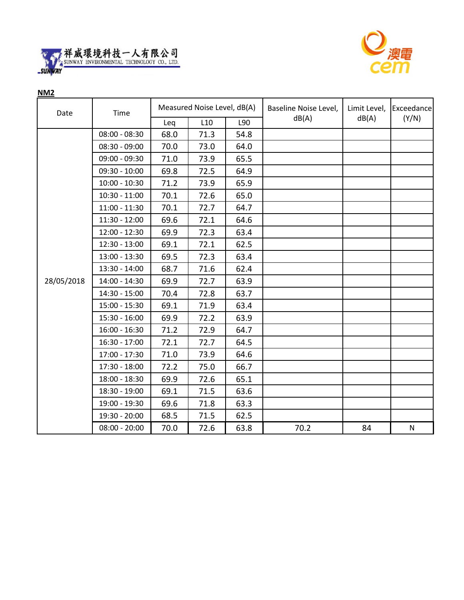



**NM2**

| Date       | Time            | Measured Noise Level, dB(A) |      |      | Baseline Noise Level, | Limit Level, | Exceedance |
|------------|-----------------|-----------------------------|------|------|-----------------------|--------------|------------|
|            |                 | Leq                         | L10  | L90  | dB(A)                 | dB(A)        | (Y/N)      |
|            | $08:00 - 08:30$ | 68.0                        | 71.3 | 54.8 |                       |              |            |
|            | $08:30 - 09:00$ | 70.0                        | 73.0 | 64.0 |                       |              |            |
|            | $09:00 - 09:30$ | 71.0                        | 73.9 | 65.5 |                       |              |            |
|            | $09:30 - 10:00$ | 69.8                        | 72.5 | 64.9 |                       |              |            |
|            | $10:00 - 10:30$ | 71.2                        | 73.9 | 65.9 |                       |              |            |
|            | $10:30 - 11:00$ | 70.1                        | 72.6 | 65.0 |                       |              |            |
|            | $11:00 - 11:30$ | 70.1                        | 72.7 | 64.7 |                       |              |            |
|            | $11:30 - 12:00$ | 69.6                        | 72.1 | 64.6 |                       |              |            |
|            | $12:00 - 12:30$ | 69.9                        | 72.3 | 63.4 |                       |              |            |
|            | $12:30 - 13:00$ | 69.1                        | 72.1 | 62.5 |                       |              |            |
|            | $13:00 - 13:30$ | 69.5                        | 72.3 | 63.4 |                       |              |            |
|            | 13:30 - 14:00   | 68.7                        | 71.6 | 62.4 |                       |              |            |
| 28/05/2018 | 14:00 - 14:30   | 69.9                        | 72.7 | 63.9 |                       |              |            |
|            | 14:30 - 15:00   | 70.4                        | 72.8 | 63.7 |                       |              |            |
|            | $15:00 - 15:30$ | 69.1                        | 71.9 | 63.4 |                       |              |            |
|            | $15:30 - 16:00$ | 69.9                        | 72.2 | 63.9 |                       |              |            |
|            | $16:00 - 16:30$ | 71.2                        | 72.9 | 64.7 |                       |              |            |
|            | $16:30 - 17:00$ | 72.1                        | 72.7 | 64.5 |                       |              |            |
|            | 17:00 - 17:30   | 71.0                        | 73.9 | 64.6 |                       |              |            |
|            | $17:30 - 18:00$ | 72.2                        | 75.0 | 66.7 |                       |              |            |
|            | 18:00 - 18:30   | 69.9                        | 72.6 | 65.1 |                       |              |            |
|            | 18:30 - 19:00   | 69.1                        | 71.5 | 63.6 |                       |              |            |
|            | 19:00 - 19:30   | 69.6                        | 71.8 | 63.3 |                       |              |            |
|            | 19:30 - 20:00   | 68.5                        | 71.5 | 62.5 |                       |              |            |
|            | $08:00 - 20:00$ | 70.0                        | 72.6 | 63.8 | 70.2                  | 84           | N          |